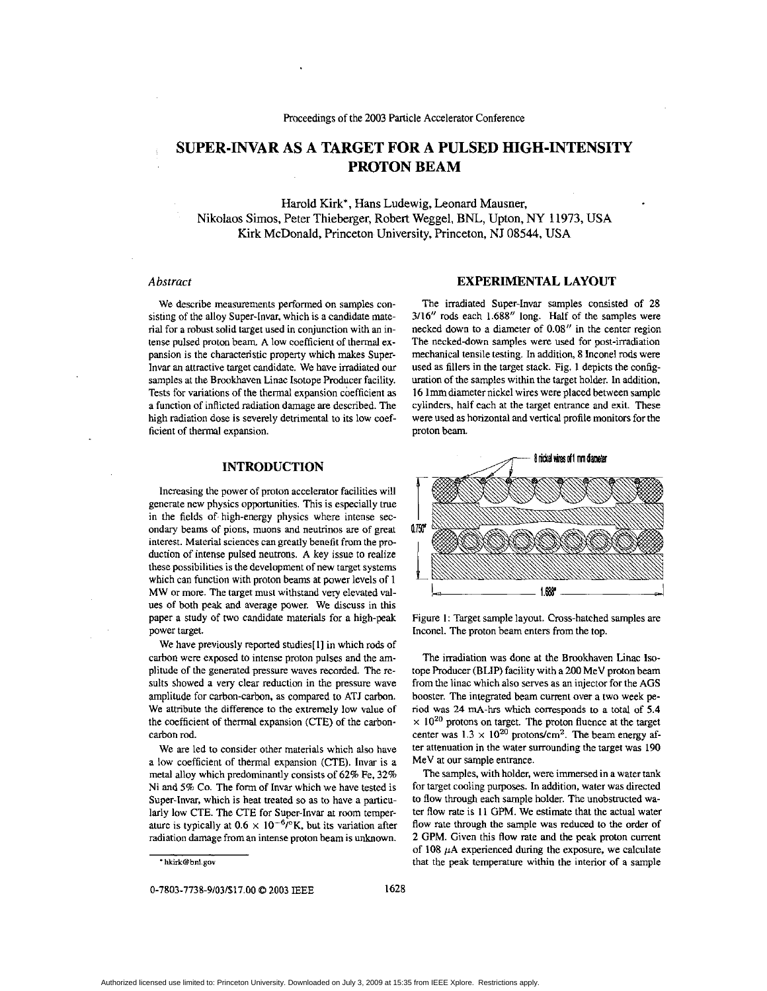# **SUPER-INVAR AS A TARGET FOR A PULSED HIGH-INTENSITY PROTON BEAM**

Harold Kirk\*, Hans Ludewig, Leonard Mausner, Nikolaos Simos, Peter Thieberger, Robert Weggel, **BNL,** Upton, *NY* **11973,** USA Kirk McDonald, Rinceton University, Princeton, NJ 08544, USA

### *Abstruct*

We describe measurements performed on samples consisting of the alloy Super-Invar, which is a candidate material for a robust solid target used in conjunction with an intense pulsed proton beam. **A** low coefficient of thermal expansion is the characteristic property which makes Superlnvar an attractive target candidate. We have irradiated our samples at the Brookhaven Linac Isotope Producer facility. Tests for variations of the thermal expansion coefficient **as**  a function of inflicted radiation damage are described. The high radiation dose is severely detrimental to its low coefficient of thermal expansion.

# **EXPERIMENTAL LAYOUT**

The irradiated Super-lnvar samples consisted of 28 3/16" rods each 1.688" long. Half of the samples were necked down to a diameter of **0.08''** in the center region The necked-down samples were used for post-irradiation mechanical tensile testing. In addition, 8 Inconel rods were used as fillers in the target stack. Fig. 1 depicts the configuration of the samples within the target holder. In addition, 16 lmmdiameternickel wires were placed between sample cylinders, half each at the target entrance and exit. These were used **as** horizontal and vertical profile monitors for the proton beam

## **INTRODUCTION**

Increasing the power of proton accelerator facilities will generate new physics opportunities. This is especially true in the fields of. high-energy physics where intense secondary beams of pions, muons and neutrinos **are** of great interest. Material sciences can greatly benefit from the pro duction of intense pulsed neutrons. A key issue to realize these possibilities is the development of **new** target systems which can function with proton beams at power levels of **1**  MW or more. The target must withstand very elevated values of both peak and average power. We discuss in this paper a study of two candidate materials for a high-peak power target.

We have previously reported studies[1] in which rods of carbon were exposed to intense proton pulses and the amplitude of the generated pressure waves recorded. The results showed a very clear reduction in the pressure wave amplitude for carbon-carbon, as compared to ATJ carbon. We attribute the difference to the extremely low value of the coefficient of thermal expansion (CTE) of the carboncarbon rod.

We are led to consider other materials which also have a low coefficient of thermal expansion (CTE). lnvar is **a**  metal alloy which predominantly consists of 62% Fe. 32% Ni and *5%* Co. The form of lnvar which we have tested is Super-lnvar, which is heat treated so as to have a particularly **low** CTE. The CTE for Super-Invar at room temperature is typically at  $0.6 \times 10^{-6}$ <sup>o</sup>K, but its variation after radiation damage from an intense proton beam is unknown.

**['hkirk@bd.gov](mailto:hkirk@bd.gov)** 

0-7803-7738-9/03/\$17.00 © 2003 IEEE 1628



Figure **I:** Target sample layout. Cross-hatched samples are Inconel. The proton beam enters from the top.

The irradiation was done at the Brookhaven Linac Isotope Producer (BLIP) facility with a **200** MeV proton beam from the linac which also serves **as** an injector for the AGS booster. The integrated beam current over **a** two week period **was 24** mA-hrs which corresponds to a total of **5.4**   $\times$  10<sup>20</sup> protons on target. The proton fluence at the target center was  $1.3 \times 10^{20}$  protons/cm<sup>2</sup>. The beam energy after attenuation in the water surrounding the target was 190 MeV at our sample entrance.

The samples. with holder, were immersed in a water tank for target cooling purposes. In addition, water was directed to flow through each sample holder. The unobstructed water flow rate is **11** GPM. We estimate that the actual water flow rate through the sample was reduced to the order of 2 GPM. Given this flow rate and the peak proton current of  $108 \mu A$  experienced during the exposure, we calculate that the *peak* temperature within the interior of a sample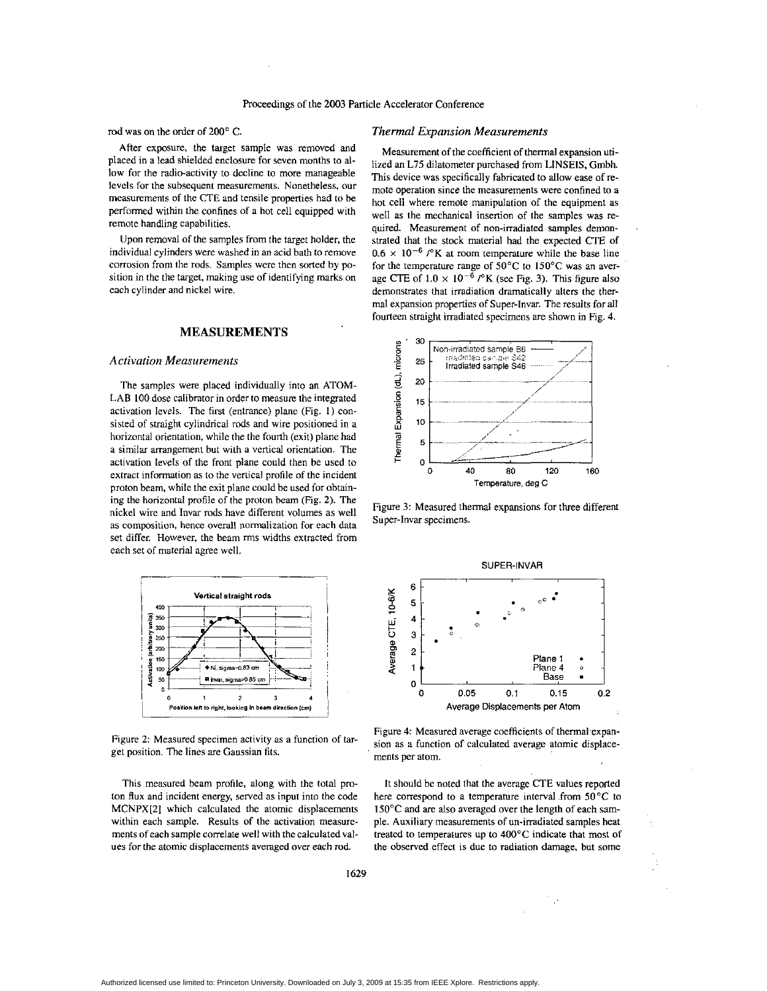**rod** was on the order of 200' C.

After exposure, the target sample was removed and placed in a lead shielded enclosure for seven months to allow for the radio-activity to decline to more manageable levels for the subsequent measurements. Nonetheless, our measurements of the CTE and tensile properties had to be performed within the confines of a hot cell equipped with remote handling capabilities.

Upon removal of the samples from the target holder, the individual cylinders were washed in an acid bath to remove corrosion from the rods. Samples were then sorted by position in the the target, making use of identifying marks on each cylinder and nickel wire.

#### **MEASUREMENTS**

## *Activation Measurements*

The samples were placed individually into an ATOM-LAB **100** dose calibrator in order to measure the integrated activation levels. The first (entrance) plane (Fig. **1)** consisted of straight cylindrical rods and wire positioned in a horizontal orientation, while the the fourth (exit) plane had a similar arrangement but with a vertical orientation. The activation levels of the front plane could then he used to extract information as to the vertical profile of the incident proton beam, while the exit plane could be used for obtaining the horizontal profile of the proton beam (Fig. 2). The nickel wire and Invar rods have different volumes as well as composition, hence overall normalization for each data aset differ. However, the beam rms widths extracted from each set of material agree well. set differ. However, the beam **rms** widths extracted from each set of material agree well.



Figure 2: Measured specimen activity as a function of target position. The lines are Gaussian fits.

This measured beam profile, along with the total proton **flux** and incident energy. sewed as input into the code MCNPX[2] which calculated the atomic displacements within each sample. Results of the activation measurements of each sample correlate well with the calculated values for the atomic displacements averaged over each rod.

## *Thermal Expansion Measurements*

Measurement of the coefficient of thermal expansion utilized an L75 dilatometer purchased from LINSEIS, Gmbh. This device was specifically fabricated to allow ease of remote operation since the measurements were confined to a hot cell where remote manipulation of the equipment as well **as** the mechanical insenion of the samples was required. Measurement of non-irradiated samples demonstrated that the stock material had the expected CTE **of**   $0.6 \times 10^{-6}$  / $\textdegree$ K at room temperature while the base line for the temperature range of  $50^{\circ}$ C to  $150^{\circ}$ C was an average CTE of  $1.0 \times 10^{-6}$  / $\degree$ K (see Fig. 3). This figure also demonstrates that irradiation dramatically alters the thermal expansion properties of Super-lnvar. The results for all fourteen straight irradiated specimens are shown in Fig. **4.** 



Figure 3: Measured thermal expansions for three different Super-Invar specimens.



Figure 4: Measured average coefficients of thermal expansion as a function of calculated average atomic displacements per atom.

It should be noted that the average CTE values reported here correspond to a temperature interval from 50°C to 150°C and are also averaged over the length of each sample. Auxiliary measurements of un-irradiated samples heat treated to temperarures up to **400'C** indicate that most of the observed effect is due to radiation damage, but some